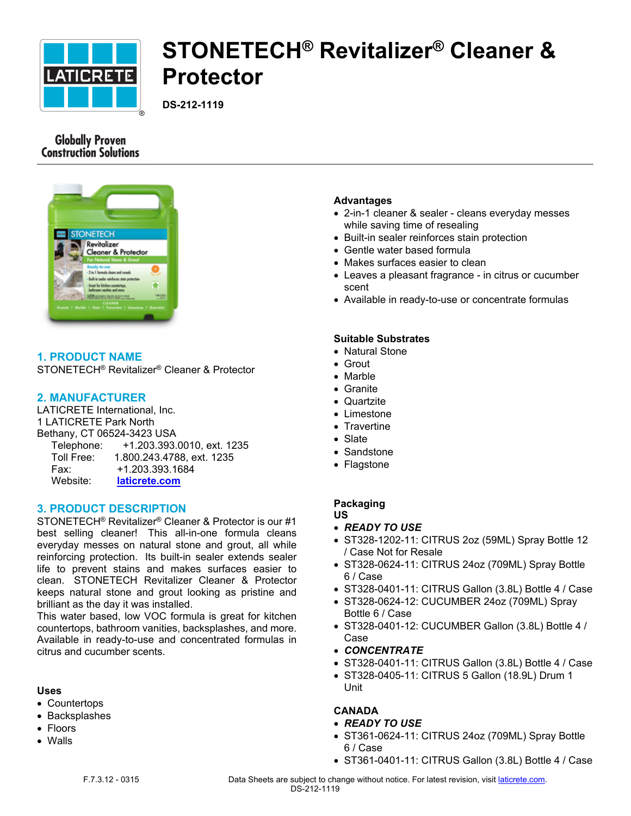

# **STONETECH® Revitalizer® Cleaner & Protector**

**DS-212-1119**

# **Globally Proven Construction Solutions**



# **1. PRODUCT NAME**

STONETECH® Revitalizer® Cleaner & Protector

# **2. MANUFACTURER**

LATICRETE International, Inc. 1 LATICRETE Park North Bethany, CT 06524-3423 USA Telephone: +1.203.393.0010, ext. 1235 Toll Free: 1.800.243.4788, ext. 1235 Fax: +1.203.393.1684 Website: **[laticrete.com](https://laticrete.com/)**

# **3. PRODUCT DESCRIPTION**

STONETECH® Revitalizer® Cleaner & Protector is our #1 best selling cleaner! This all-in-one formula cleans everyday messes on natural stone and grout, all while reinforcing protection. Its built-in sealer extends sealer life to prevent stains and makes surfaces easier to clean. STONETECH Revitalizer Cleaner & Protector keeps natural stone and grout looking as pristine and brilliant as the day it was installed.

This water based, low VOC formula is great for kitchen countertops, bathroom vanities, backsplashes, and more. Available in ready-to-use and concentrated formulas in citrus and cucumber scents.

# **Uses**

- Countertops
- Backsplashes
- Floors
- Walls

# **Advantages**

- 2-in-1 cleaner & sealer cleans everyday messes while saving time of resealing
- Built-in sealer reinforces stain protection
- Gentle water based formula
- Makes surfaces easier to clean
- Leaves a pleasant fragrance in citrus or cucumber scent
- Available in ready-to-use or concentrate formulas

# **Suitable Substrates**

- Natural Stone
- Grout
- Marble
- Granite
- Quartzite
- Limestone
- Travertine
- Slate
- Sandstone
- Flagstone

# **Packaging**

**US**

- *READY TO USE*
- ST328-1202-11: CITRUS 2oz (59ML) Spray Bottle 12 / Case Not for Resale
- ST328-0624-11: CITRUS 24oz (709ML) Spray Bottle 6 / Case
- ST328-0401-11: CITRUS Gallon (3.8L) Bottle 4 / Case
- ST328-0624-12: CUCUMBER 24oz (709ML) Spray Bottle 6 / Case
- ST328-0401-12: CUCUMBER Gallon (3.8L) Bottle 4 / Case
- *CONCENTRATE*
- ST328-0401-11: CITRUS Gallon (3.8L) Bottle 4 / Case
- ST328-0405-11: CITRUS 5 Gallon (18.9L) Drum 1 Unit

# **CANADA**

- *READY TO USE*
- ST361-0624-11: CITRUS 24oz (709ML) Spray Bottle 6 / Case
- ST361-0401-11: CITRUS Gallon (3.8L) Bottle 4 / Case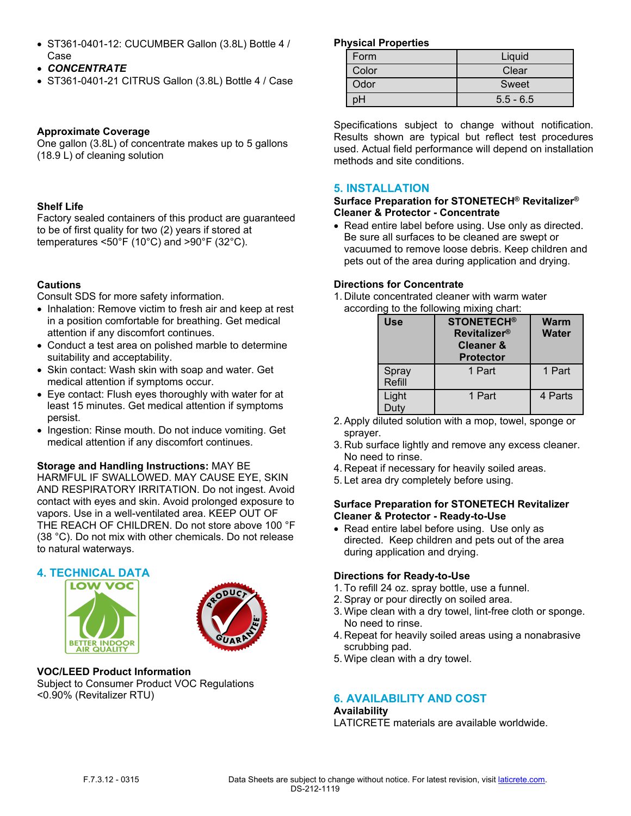- ST361-0401-12: CUCUMBER Gallon (3.8L) Bottle 4 / Case
- *CONCENTRATE*
- ST361-0401-21 CITRUS Gallon (3.8L) Bottle 4 / Case

# **Approximate Coverage**

One gallon (3.8L) of concentrate makes up to 5 gallons (18.9 L) of cleaning solution

# **Shelf Life**

Factory sealed containers of this product are guaranteed to be of first quality for two (2) years if stored at temperatures <50°F (10°C) and >90°F (32°C).

# **Cautions**

Consult SDS for more safety information.

- Inhalation: Remove victim to fresh air and keep at rest in a position comfortable for breathing. Get medical attention if any discomfort continues.
- Conduct a test area on polished marble to determine suitability and acceptability.
- Skin contact: Wash skin with soap and water. Get medical attention if symptoms occur.
- Eye contact: Flush eyes thoroughly with water for at least 15 minutes. Get medical attention if symptoms persist.
- Ingestion: Rinse mouth. Do not induce vomiting. Get medical attention if any discomfort continues.

# **Storage and Handling Instructions:** MAY BE

HARMFUL IF SWALLOWED. MAY CAUSE EYE, SKIN AND RESPIRATORY IRRITATION. Do not ingest. Avoid contact with eyes and skin. Avoid prolonged exposure to vapors. Use in a well-ventilated area. KEEP OUT OF THE REACH OF CHILDREN. Do not store above 100 °F (38 °C). Do not mix with other chemicals. Do not release to natural waterways.

# **4. TECHNICAL DATA**





#### **VOC/LEED Product Information** Subject to Consumer Product VOC Regulations <0.90% (Revitalizer RTU)

# **Physical Properties**

| Form  | Liquid      |  |
|-------|-------------|--|
| Color | Clear       |  |
| Odor  | Sweet       |  |
| oН    | $5.5 - 6.5$ |  |

Specifications subject to change without notification. Results shown are typical but reflect test procedures used. Actual field performance will depend on installation methods and site conditions.

# **5. INSTALLATION**

#### **Surface Preparation for STONETECH® Revitalizer® Cleaner & Protector - Concentrate**

• Read entire label before using. Use only as directed. Be sure all surfaces to be cleaned are swept or vacuumed to remove loose debris. Keep children and pets out of the area during application and drying.

# **Directions for Concentrate**

1. Dilute concentrated cleaner with warm water according to the following mixing chart:

| <b>Use</b>      | <b>STONETECH®</b><br><b>Revitalizer®</b><br><b>Cleaner &amp;</b><br><b>Protector</b> | <b>Warm</b><br><b>Water</b> |
|-----------------|--------------------------------------------------------------------------------------|-----------------------------|
| Spray<br>Refill | 1 Part                                                                               | 1 Part                      |
| Light<br>Duty   | 1 Part                                                                               | 4 Parts                     |

- 2. Apply diluted solution with a mop, towel, sponge or sprayer.
- 3. Rub surface lightly and remove any excess cleaner. No need to rinse.
- 4. Repeat if necessary for heavily soiled areas.
- 5. Let area dry completely before using.

#### **Surface Preparation for STONETECH Revitalizer Cleaner & Protector - Ready-to-Use**

• Read entire label before using. Use only as directed. Keep children and pets out of the area during application and drying.

# **Directions for Ready-to-Use**

- 1. To refill 24 oz. spray bottle, use a funnel.
- 2. Spray or pour directly on soiled area.
- 3. Wipe clean with a dry towel, lint-free cloth or sponge. No need to rinse.
- 4. Repeat for heavily soiled areas using a nonabrasive scrubbing pad.
- 5. Wipe clean with a dry towel.

# **6. AVAILABILITY AND COST**

# **Availability**

LATICRETE materials are available worldwide.